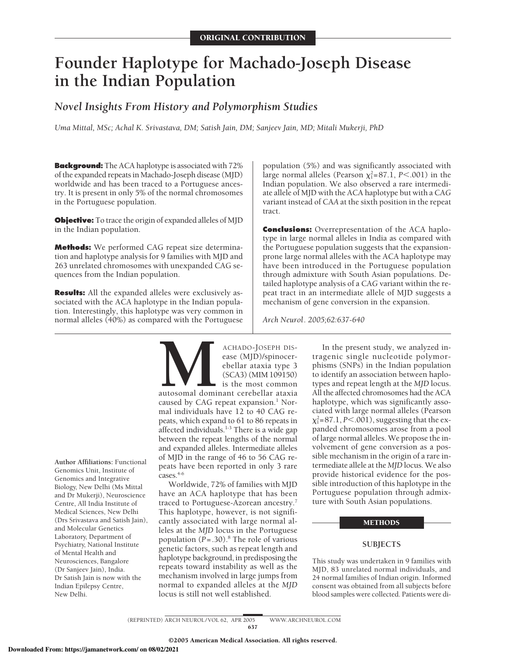# **Founder Haplotype for Machado-Joseph Disease in the Indian Population**

## *Novel Insights From History and Polymorphism Studies*

*Uma Mittal, MSc; Achal K. Srivastava, DM; Satish Jain, DM; Sanjeev Jain, MD; Mitali Mukerji, PhD*

**Background:** The ACA haplotype is associated with 72% of the expanded repeats in Machado-Joseph disease (MJD) worldwide and has been traced to a Portuguese ancestry. It is present in only 5% of the normal chromosomes in the Portuguese population.

**Objective:** To trace the origin of expanded alleles of MJD in the Indian population.

**Methods:** We performed CAG repeat size determination and haplotype analysis for 9 families with MJD and 263 unrelated chromosomes with unexpanded CAG sequences from the Indian population.

**Results:** All the expanded alleles were exclusively associated with the ACA haplotype in the Indian population. Interestingly, this haplotype was very common in normal alleles (40%) as compared with the Portuguese

population (5%) and was significantly associated with large normal alleles (Pearson  $\chi^2$ =87.1, *P*<.001) in the Indian population. We also observed a rare intermediate allele of MJD with the ACA haplotype but with a CA*G* variant instead of CA*A* at the sixth position in the repeat tract.

**Conclusions:** Overrepresentation of the ACA haplotype in large normal alleles in India as compared with the Portuguese population suggests that the expansionprone large normal alleles with the ACA haplotype may have been introduced in the Portuguese population through admixture with South Asian populations. Detailed haplotype analysis of a CA*G* variant within the repeat tract in an intermediate allele of MJD suggests a mechanism of gene conversion in the expansion.

*Arch Neurol. 2005;62:637-640*

**Author Affiliations:** Functional Genomics Unit, Institute of Genomics and Integrative Biology, New Delhi (Ms Mittal and Dr Mukerji), Neuroscience Centre, All India Institute of Medical Sciences, New Delhi (Drs Srivastava and Satish Jain), and Molecular Genetics Laboratory, Department of Psychiatry, National Institute of Mental Health and Neurosciences, Bangalore (Dr Sanjeev Jain), India. Dr Satish Jain is now with the Indian Epilepsy Centre, New Delhi.

ACHADO-JOSEPH DISease (MJD)/spinocerebellar ataxia type 3 (SCA3) (MIM 109150) is the most common

autosomal domination autosomal dominant cerebellar ataxia caused by CAG repeat expansion.<sup>1</sup> Normal individuals have 12 to 40 CAG repeats, which expand to 61 to 86 repeats in affected individuals. $1-3$  There is a wide gap between the repeat lengths of the normal and expanded alleles. Intermediate alleles of MJD in the range of 46 to 56 CAG repeats have been reported in only 3 rare  $cases.<sup>4-6</sup>$ 

Worldwide, 72% of families with MJD have an ACA haplotype that has been traced to Portuguese-Azorean ancestry.<sup>7</sup> This haplotype, however, is not significantly associated with large normal alleles at the *MJD* locus in the Portuguese population (*P*=.30).<sup>8</sup> The role of various genetic factors, such as repeat length and haplotype background, in predisposing the repeats toward instability as well as the mechanism involved in large jumps from normal to expanded alleles at the *MJD* locus is still not well established.

In the present study, we analyzed intragenic single nucleotide polymorphisms (SNPs) in the Indian population to identify an association between haplotypes and repeat length at the *MJD* locus. All the affected chromosomes had the ACA haplotype, which was significantly associated with large normal alleles (Pearson  $\chi_1^2$ =87.1, *P*<.001), suggesting that the expanded chromosomes arose from a pool of large normal alleles. We propose the involvement of gene conversion as a possible mechanism in the origin of a rare intermediate allele at the *MJD*locus. We also provide historical evidence for the possible introduction of this haplotype in the Portuguese population through admixture with South Asian populations.

## **METHODS**

## **SUBJECTS**

This study was undertaken in 9 families with MJD, 83 unrelated normal individuals, and 24 normal families of Indian origin. Informed consent was obtained from all subjects before blood samples were collected. Patients were di-

(REPRINTED) ARCH NEUROL/VOL 62, APR 2005 WWW.ARCHNEUROL.COM 637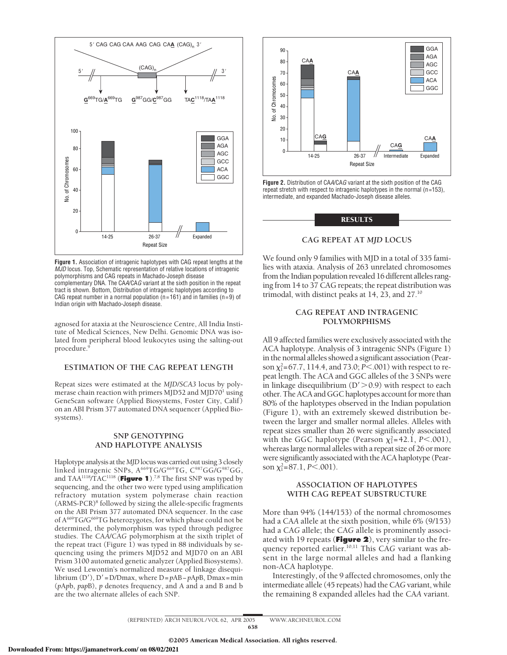

**Figure 1.** Association of intragenic haplotypes with CAG repeat lengths at the *MJD* locus. Top, Schematic representation of relative locations of intragenic polymorphisms and CAG repeats in Machado-Joseph disease complementary DNA. The CA*A*/CA*G* variant at the sixth position in the repeat tract is shown. Bottom, Distribution of intragenic haplotypes according to CAG repeat number in a normal population  $(n=161)$  and in families  $(n=9)$  of Indian origin with Machado-Joseph disease.

agnosed for ataxia at the Neuroscience Centre, All India Institute of Medical Sciences, New Delhi. Genomic DNA was isolated from peripheral blood leukocytes using the salting-out procedure.<sup>9</sup>

## **ESTIMATION OF THE CAG REPEAT LENGTH**

Repeat sizes were estimated at the *MJD/SCA3* locus by polymerase chain reaction with primers MJD52 and MJD70 $1$  using GeneScan software (Applied Biosystems, Foster City, Calif ) on an ABI Prism 377 automated DNA sequencer (Applied Biosystems).

## **SNP GENOTYPING AND HAPLOTYPE ANALYSIS**

Haplotype analysis at the *MJD*locus was carried out using 3 closely linked intragenic SNPs, A<sup>669</sup>TG/G<sup>669</sup>TG, C<sup>987</sup>GG/G<sup>987</sup>GG, and TAA<sup>1118</sup>/TAC<sup>1118</sup> (Figure 1).<sup>7,8</sup> The first SNP was typed by sequencing, and the other two were typed using amplification refractory mutation system polymerase chain reaction (ARMS-PCR)<sup>8</sup> followed by sizing the allele-specific fragments on the ABI Prism 377 automated DNA sequencer. In the case of A<sup>669</sup>TG/G<sup>669</sup>TG heterozygotes, for which phase could not be determined, the polymorphism was typed through pedigree studies. The CA*A*/CA*G* polymorphism at the sixth triplet of the repeat tract (Figure 1) was typed in 88 individuals by sequencing using the primers MJD52 and MJD70 on an ABI Prism 3100 automated genetic analyzer (Applied Biosystems). We used Lewontin's normalized measure of linkage disequilibrium (D), D=D/Dmax, where D=*p*AB−*p*A*p*B, Dmax=min (*p*A*p*b, *p*a*p*B), *p* denotes frequency, and A and a and B and b are the two alternate alleles of each SNP.



**Figure 2.** Distribution of CA*A*/CA*G* variant at the sixth position of the CAG repeat stretch with respect to intragenic haplotypes in the normal (n=153), intermediate, and expanded Machado-Joseph disease alleles.

#### RESULTS

#### **CAG REPEAT AT** *MJD* **LOCUS**

We found only 9 families with MJD in a total of 335 families with ataxia. Analysis of 263 unrelated chromosomes from the Indian population revealed 16 different alleles ranging from 14 to 37 CAG repeats; the repeat distribution was trimodal, with distinct peaks at 14, 23, and 27.<sup>10</sup>

## **CAG REPEAT AND INTRAGENIC POLYMORPHISMS**

All 9 affected families were exclusively associated with the ACA haplotype. Analysis of 3 intragenic SNPs (Figure 1) in the normal alleles showed a significant association (Pearson  $\chi^2$ =67.7, 114.4, and 73.0; *P*<.001) with respect to repeat length. The ACA and GGC alleles of the 3 SNPs were in linkage disequilibrium  $(D' > 0.9)$  with respect to each other. The ACA and GGC haplotypes account for more than 80% of the haplotypes observed in the Indian population (Figure 1), with an extremely skewed distribution between the larger and smaller normal alleles. Alleles with repeat sizes smaller than 26 were significantly associated with the GGC haplotype (Pearson  $\chi_1^2$ =42.1, *P*<.001), whereas large normal alleles with a repeat size of 26 or more were significantly associated with the ACA haplotype (Pearson  $\chi_1^2 = 87.1$ , *P*<.001).

## **ASSOCIATION OF HAPLOTYPES WITH CAG REPEAT SUBSTRUCTURE**

More than 94% (144/153) of the normal chromosomes had a CA*A* allele at the sixth position, while 6% (9/153) had a CA*G* allele; the CA*G* allele is prominently associated with 19 repeats (**Figure 2**), very similar to the frequency reported earlier.<sup>10,11</sup> This CAG variant was absent in the large normal alleles and had a flanking non-ACA haplotype.

Interestingly, of the 9 affected chromosomes, only the intermediate allele (45 repeats) had the CA*G* variant, while the remaining 8 expanded alleles had the CA*A* variant.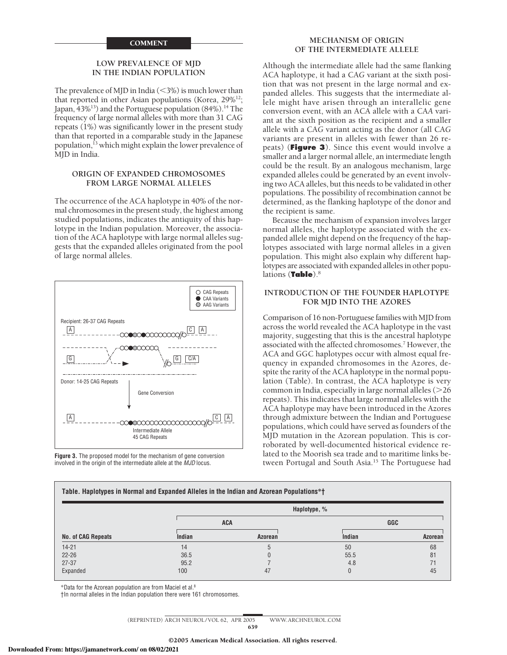#### COMMENT

## **LOW PREVALENCE OF MJD IN THE INDIAN POPULATION**

The prevalence of MJD in India  $(<$ 3%) is much lower than that reported in other Asian populations (Korea, 29%<sup>12</sup>; Japan, 43%<sup>13</sup>) and the Portuguese population (84%).<sup>14</sup> The frequency of large normal alleles with more than 31 CAG repeats (1%) was significantly lower in the present study than that reported in a comparable study in the Japanese population,<sup>13</sup> which might explain the lower prevalence of MJD in India.

## **ORIGIN OF EXPANDED CHROMOSOMES FROM LARGE NORMAL ALLELES**

The occurrence of the ACA haplotype in 40% of the normal chromosomes in the present study, the highest among studied populations, indicates the antiquity of this haplotype in the Indian population. Moreover, the association of the ACA haplotype with large normal alleles suggests that the expanded alleles originated from the pool of large normal alleles.



**Figure 3.** The proposed model for the mechanism of gene conversion involved in the origin of the intermediate allele at the *MJD* locus.

## **MECHANISM OF ORIGIN OF THE INTERMEDIATE ALLELE**

Although the intermediate allele had the same flanking ACA haplotype, it had a CA*G* variant at the sixth position that was not present in the large normal and expanded alleles. This suggests that the intermediate allele might have arisen through an interallelic gene conversion event, with an ACA allele with a CA*A* variant at the sixth position as the recipient and a smaller allele with a CA*G* variant acting as the donor (all CA*G* variants are present in alleles with fewer than 26 repeats) (**Figure 3**). Since this event would involve a smaller and a larger normal allele, an intermediate length could be the result. By an analogous mechanism, large expanded alleles could be generated by an event involving two ACA alleles, but this needs to be validated in other populations. The possibility of recombination cannot be determined, as the flanking haplotype of the donor and the recipient is same.

Because the mechanism of expansion involves larger normal alleles, the haplotype associated with the expanded allele might depend on the frequency of the haplotypes associated with large normal alleles in a given population. This might also explain why different haplotypes are associated with expanded alleles in other populations (**Table**).<sup>8</sup>

## **INTRODUCTION OF THE FOUNDER HAPLOTYPE FOR MJD INTO THE AZORES**

Comparison of 16 non-Portuguese families with MJD from across the world revealed the ACA haplotype in the vast majority, suggesting that this is the ancestral haplotype associated with the affected chromosomes.<sup>7</sup> However, the ACA and GGC haplotypes occur with almost equal frequency in expanded chromosomes in the Azores, despite the rarity of the ACA haplotype in the normal population (Table). In contrast, the ACA haplotype is very common in India, especially in large normal alleles  $(>26$ repeats). This indicates that large normal alleles with the ACA haplotype may have been introduced in the Azores through admixture between the Indian and Portuguese populations, which could have served as founders of the MJD mutation in the Azorean population. This is corroborated by well-documented historical evidence related to the Moorish sea trade and to maritime links between Portugal and South Asia.<sup>15</sup> The Portuguese had

| Table. Haplotypes in Normal and Expanded Alleles in the Indian and Azorean Populations*† |              |         |        |         |  |  |  |
|------------------------------------------------------------------------------------------|--------------|---------|--------|---------|--|--|--|
|                                                                                          | Haplotype, % |         |        |         |  |  |  |
| <b>No. of CAG Repeats</b>                                                                | <b>ACA</b>   |         | GGC    |         |  |  |  |
|                                                                                          | Indian       | Azorean | Indian | Azorean |  |  |  |
| $14 - 21$                                                                                | 14           |         | 50     | 68      |  |  |  |
| $22 - 26$                                                                                | 36.5         |         | 55.5   | 81      |  |  |  |
| $27 - 37$                                                                                | 95.2         |         | 4.8    |         |  |  |  |
| Expanded                                                                                 | 100          | 47      |        | 45      |  |  |  |

\*Data for the Azorean population are from Maciel et al.<sup>8</sup>

†In normal alleles in the Indian population there were 161 chromosomes.

(REPRINTED) ARCH NEUROL/VOL 62, APR 2005 WWW.ARCHNEUROL.COM 639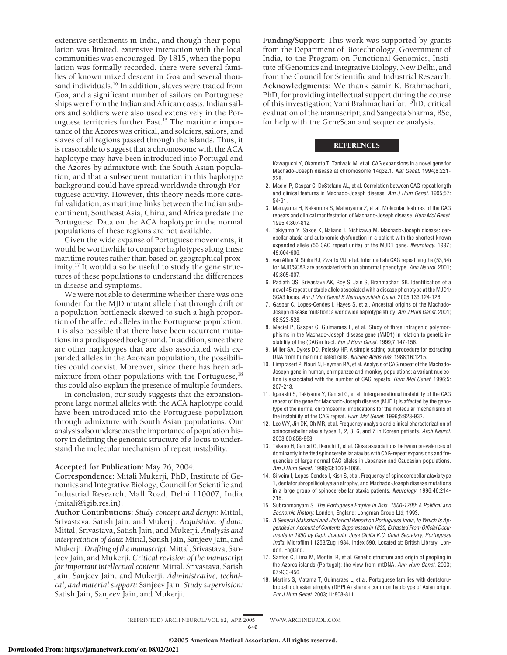extensive settlements in India, and though their population was limited, extensive interaction with the local communities was encouraged. By 1815, when the population was formally recorded, there were several families of known mixed descent in Goa and several thousand individuals.<sup>16</sup> In addition, slaves were traded from Goa, and a significant number of sailors on Portuguese ships were from the Indian and African coasts. Indian sailors and soldiers were also used extensively in the Portuguese territories further East.<sup>15</sup> The maritime importance of the Azores was critical, and soldiers, sailors, and slaves of all regions passed through the islands. Thus, it is reasonable to suggest that a chromosome with the ACA haplotype may have been introduced into Portugal and the Azores by admixture with the South Asian population, and that a subsequent mutation in this haplotype background could have spread worldwide through Portuguese activity. However, this theory needs more careful validation, as maritime links between the Indian subcontinent, Southeast Asia, China, and Africa predate the Portuguese. Data on the ACA haplotype in the normal populations of these regions are not available.

Given the wide expanse of Portuguese movements, it would be worthwhile to compare haplotypes along these maritime routes rather than based on geographical proximity.<sup>17</sup> It would also be useful to study the gene structures of these populations to understand the differences in disease and symptoms.

We were not able to determine whether there was one founder for the MJD mutant allele that through drift or a population bottleneck skewed to such a high proportion of the affected alleles in the Portuguese population. It is also possible that there have been recurrent mutations in a predisposed background. In addition, since there are other haplotypes that are also associated with expanded alleles in the Azorean population, the possibilities could coexist. Moreover, since there has been admixture from other populations with the Portuguese,<sup>18</sup> this could also explain the presence of multiple founders.

In conclusion, our study suggests that the expansionprone large normal alleles with the ACA haplotype could have been introduced into the Portuguese population through admixture with South Asian populations. Our analysis also underscores the importance of population history in defining the genomic structure of a locus to understand the molecular mechanism of repeat instability.

#### **Accepted for Publication:** May 26, 2004.

**Correspondence:** Mitali Mukerji, PhD, Institute of Genomics and Integrative Biology, Council for Scientific and Industrial Research, Mall Road, Delhi 110007, India (mitali@igib.res.in).

**Author Contributions:** *Study concept and design:* Mittal, Srivastava, Satish Jain, and Mukerji. *Acquisition of data:* Mittal, Srivastava, Satish Jain, and Mukerji. *Analysis and interpretation of data:* Mittal, Satish Jain, Sanjeev Jain, and Mukerji.*Drafting of the manuscript:* Mittal, Srivastava, Sanjeev Jain, and Mukerji. *Critical revision of the manuscript for important intellectual content*: Mittal, Srivastava, Satish Jain, Sanjeev Jain, and Mukerji. *Administrative, technical, and material support:* Sanjeev Jain. *Study supervision:* Satish Jain, Sanjeev Jain, and Mukerji.

**Funding/Support:** This work was supported by grants from the Department of Biotechnology, Government of India, to the Program on Functional Genomics, Institute of Genomics and Integrative Biology, New Delhi, and from the Council for Scientific and Industrial Research. **Acknowledgments:** We thank Samir K. Brahmachari, PhD, for providing intellectual support during the course of this investigation; Vani Brahmacharifor, PhD, critical evaluation of the manuscript; and Sangeeta Sharma, BSc, for help with the GeneScan and sequence analysis.

#### **REFERENCES**

- 1. Kawaguchi Y, Okamoto T, Taniwaki M, et al. CAG expansions in a novel gene for Machado-Joseph disease at chromosome 14q32.1. *Nat Genet*. 1994;8:221- 228.
- 2. Maciel P, Gaspar C, DeStefano AL, et al. Correlation between CAG repeat length and clinical features in Machado-Joseph disease. *Am J Hum Genet*. 1995;57: 54-61.
- 3. Maruyama H, Nakamura S, Matsuyama Z, et al. Molecular features of the CAG repeats and clinical manifestation of Machado-Joseph disease. *Hum Mol Genet*. 1995;4:807-812.
- 4. Takiyama Y, Sakoe K, Nakano I, Nishizawa M. Machado-Joseph disease: cerebellar ataxia and autonomic dysfunction in a patient with the shortest known expanded allele (56 CAG repeat units) of the MJD1 gene. *Neurology*. 1997; 49:604-606.
- 5. van Alfen N, Sinke RJ, Zwarts MJ, et al. Intermediate CAG repeat lengths (53,54) for MJD/SCA3 are associated with an abnormal phenotype. *Ann Neurol*. 2001; 49:805-807.
- 6. Padiath QS, Srivastava AK, Roy S, Jain S, Brahmachari SK. Identification of a novel 45 repeat unstable allele associated with a disease phenotype at the MJD1/ SCA3 locus. *Am J Med Genet B Neuropsychiatr Genet*. 2005;133:124-126.
- 7. Gaspar C, Lopes-Cendes I, Hayes S, et al. Ancestral origins of the Machado-Joseph disease mutation: a worldwide haplotype study. *Am J Hum Genet*. 2001; 68:523-528.
- 8. Maciel P, Gaspar C, Guimaraes L, et al. Study of three intragenic polymorphisms in the Machado-Joseph disease gene (MJD1) in relation to genetic instability of the (CAG)n tract. *Eur J Hum Genet*. 1999;7:147-156.
- 9. Miller SA, Dykes DD, Polesky HF. A simple salting out procedure for extracting DNA from human nucleated cells. *Nucleic Acids Res*. 1988;16:1215.
- 10. Limprasert P, Nouri N, Heyman RA, et al. Analysis of CAG repeat of the Machado-Joseph gene in human, chimpanzee and monkey populations: a variant nucleotide is associated with the number of CAG repeats. *Hum Mol Genet*. 1996;5: 207-213.
- 11. Igarashi S, Takiyama Y, Cancel G, et al. Intergenerational instability of the CAG repeat of the gene for Machado-Joseph disease (MJD1) is affected by the genotype of the normal chromosome: implications for the molecular mechanisms of the instability of the CAG repeat. *Hum Mol Genet*. 1996;5:923-932.
- 12. Lee WY, Jin DK, Oh MR, et al. Frequency analysis and clinical characterization of spinocerebellar ataxia types 1, 2, 3, 6, and 7 in Korean patients. *Arch Neurol*. 2003;60:858-863.
- 13. Takano H, Cancel G, Ikeuchi T, et al. Close associations between prevalences of dominantly inherited spinocerebellar ataxias with CAG-repeat expansions and frequencies of large normal CAG alleles in Japanese and Caucasian populations. *Am J Hum Genet*. 1998;63:1060-1066.
- 14. Silveira I, Lopes-Cendes I, Kish S, et al. Frequency of spinocerebellar ataxia type 1, dentatorubropallidoluysian atrophy, and Machado-Joseph disease mutations in a large group of spinocerebellar ataxia patients. *Neurology*. 1996;46:214- 218.
- 15. Subrahmanyam S. *The Portuguese Empire in Asia, 1500-1700: A Political and Economic History.* London, England: Longman Group Ltd; 1993.
- 16. A General Statistical and Historical Report on Portuguese India, to Which Is Appended an Account of Contents Suppressed in 1835, Extracted From Official Documents in 1850 by Capt. Joaquim Jose Cicilia K.C; Chief Secretary, Portuguese *India.* Microfilm I 1253/Zug 1984, Index 590. Located at: British Library, London, England.
- 17. Santos C, Lima M, Montiel R, et al. Genetic structure and origin of peopling in the Azores islands (Portugal): the view from mtDNA. *Ann Hum Genet*. 2003; 67:433-456.
- 18. Martins S, Matama T, Guimaraes L, et al. Portuguese families with dentatorubropallidoluysian atrophy (DRPLA) share a common haplotype of Asian origin. *Eur J Hum Genet*. 2003;11:808-811.

(REPRINTED) ARCH NEUROL/VOL 62, APR 2005 WWW.ARCHNEUROL.COM 640